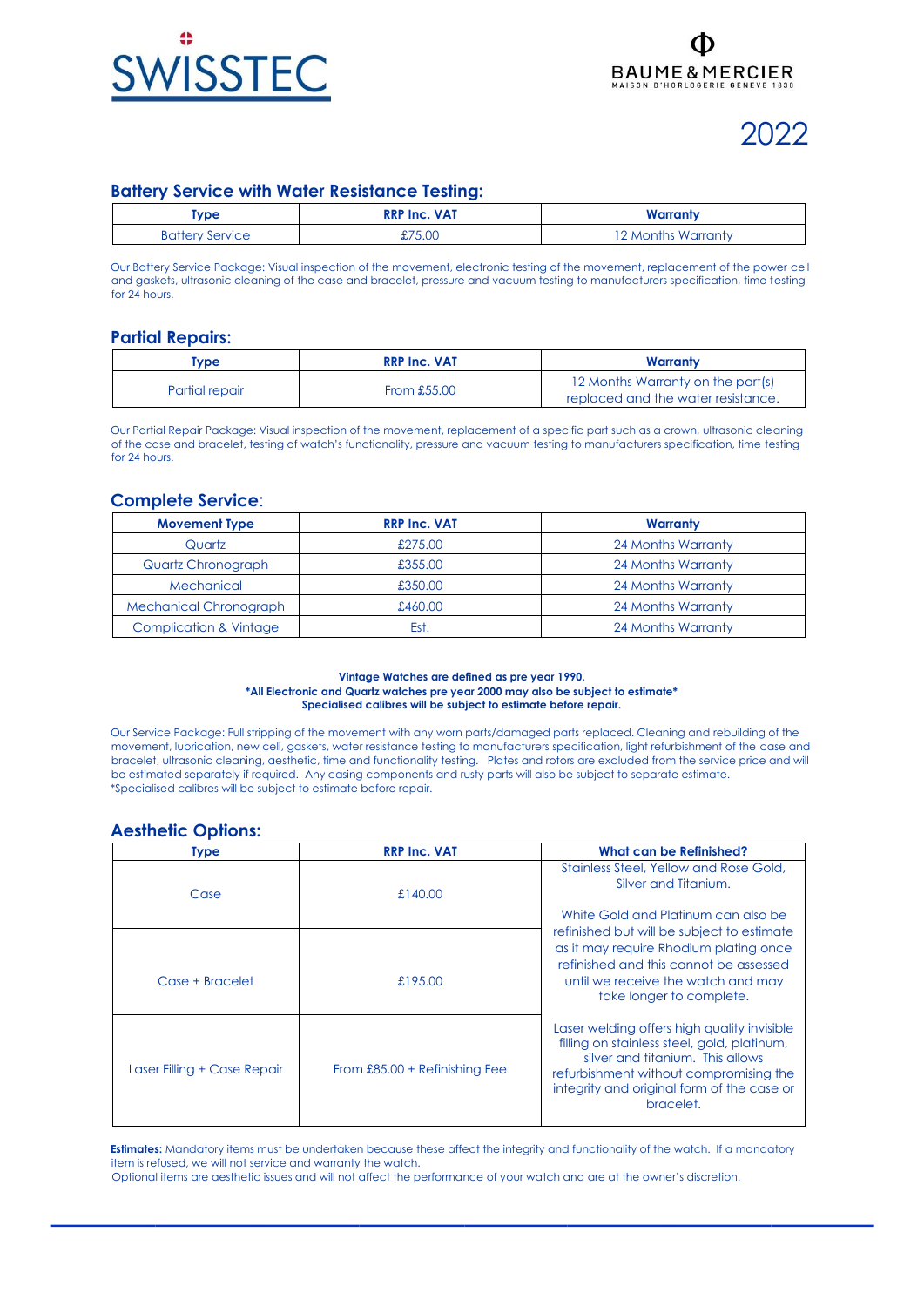

# 2022

# **Battery Service with Water Resistance Testing:**

| <b>Type</b>            | <b>RRP Inc. VAT</b> | Warranty           |
|------------------------|---------------------|--------------------|
| <b>Battery Service</b> | £75.00              | 12 Months Warranty |

Our Battery Service Package: Visual inspection of the movement, electronic testing of the movement, replacement of the power cell and gaskets, ultrasonic cleaning of the case and bracelet, pressure and vacuum testing to manufacturers specification, time testing for 24 hours.

# **Partial Repairs:**

| <b>Type</b>    | <b>RRP Inc. VAT</b> | Warranty                                                                |
|----------------|---------------------|-------------------------------------------------------------------------|
| Partial repair | From $£55.00$       | 12 Months Warranty on the part(s)<br>replaced and the water resistance. |

Our Partial Repair Package: Visual inspection of the movement, replacement of a specific part such as a crown, ultrasonic cleaning of the case and bracelet, testing of watch's functionality, pressure and vacuum testing to manufacturers specification, time testing for 24 hours.

### **Complete Service**:

| <b>Movement Type</b>              | <b>RRP Inc. VAT</b> | Warranty           |
|-----------------------------------|---------------------|--------------------|
| Quartz                            | £275.00             | 24 Months Warranty |
| Quartz Chronograph                | £355.00             | 24 Months Warranty |
| Mechanical                        | £350.00             | 24 Months Warranty |
| <b>Mechanical Chronograph</b>     | £460.00             | 24 Months Warranty |
| <b>Complication &amp; Vintage</b> | Est                 | 24 Months Warranty |

#### **Vintage Watches are defined as pre year 1990. \*All Electronic and Quartz watches pre year 2000 may also be subject to estimate\* Specialised calibres will be subject to estimate before repair.**

Our Service Package: Full stripping of the movement with any worn parts/damaged parts replaced. Cleaning and rebuilding of the movement, lubrication, new cell, gaskets, water resistance testing to manufacturers specification, light refurbishment of the case and bracelet, ultrasonic cleaning, aesthetic, time and functionality testing. Plates and rotors are excluded from the service price and will be estimated separately if required. Any casing components and rusty parts will also be subject to separate estimate. \*Specialised calibres will be subject to estimate before repair.

### **Aesthetic Options:**

| Type                        | <b>RRP Inc. VAT</b>             | What can be Refinished?                                                                                                                                                                                                             |
|-----------------------------|---------------------------------|-------------------------------------------------------------------------------------------------------------------------------------------------------------------------------------------------------------------------------------|
| Case                        | £140.00                         | Stainless Steel, Yellow and Rose Gold,<br>Silver and Titanium.                                                                                                                                                                      |
|                             |                                 | White Gold and Platinum can also be                                                                                                                                                                                                 |
| Case + Bracelet             | £195.00                         | refinished but will be subject to estimate<br>as it may require Rhodium plating once<br>refinished and this cannot be assessed<br>until we receive the watch and may<br>take longer to complete.                                    |
| Laser Filling + Case Repair | From $£85.00 + Refinishing Fee$ | Laser welding offers high quality invisible<br>filling on stainless steel, gold, platinum,<br>silver and titanium. This allows<br>refurbishment without compromising the<br>integrity and original form of the case or<br>bracelet. |

**Estimates:** Mandatory items must be undertaken because these affect the integrity and functionality of the watch. If a mandatory item is refused, we will not service and warranty the watch.

Optional items are aesthetic issues and will not affect the performance of your watch and are at the owner's discretion.